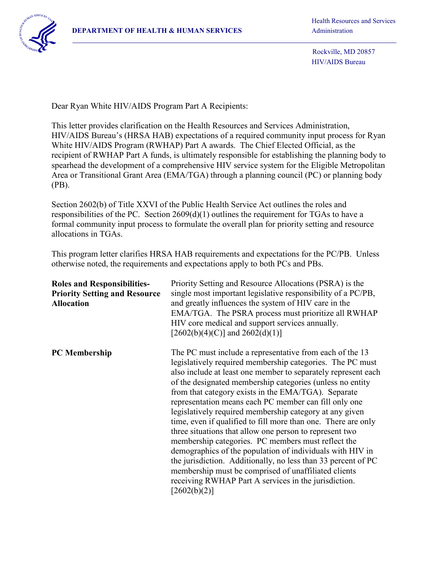Rockville, MD 20857 HIV/AIDS Bureau

Dear Ryan White HIV/AIDS Program Part A Recipients:

This letter provides clarification on the Health Resources and Services Administration, HIV/AIDS Bureau's (HRSA HAB) expectations of a required community input process for Ryan White HIV/AIDS Program (RWHAP) Part A awards. The Chief Elected Official, as the recipient of RWHAP Part A funds, is ultimately responsible for establishing the planning body to spearhead the development of a comprehensive HIV service system for the Eligible Metropolitan Area or Transitional Grant Area (EMA/TGA) through a planning council (PC) or planning body (PB).

Section 2602(b) of Title XXVI of the Public Health Service Act outlines the roles and responsibilities of the PC. Section 2609(d)(1) outlines the requirement for TGAs to have a formal community input process to formulate the overall plan for priority setting and resource allocations in TGAs.

This program letter clarifies HRSA HAB requirements and expectations for the PC/PB. Unless otherwise noted, the requirements and expectations apply to both PCs and PBs.

| <b>Roles and Responsibilities-</b><br><b>Priority Setting and Resource</b><br><b>Allocation</b> | Priority Setting and Resource Allocations (PSRA) is the<br>single most important legislative responsibility of a PC/PB,<br>and greatly influences the system of HIV care in the<br>EMA/TGA. The PSRA process must prioritize all RWHAP<br>HIV core medical and support services annually.<br>$[2602(b)(4)(C)]$ and $2602(d)(1)]$                                                                                                                                                                                                                                                                                                                                                                                                                                                                                                                                               |
|-------------------------------------------------------------------------------------------------|--------------------------------------------------------------------------------------------------------------------------------------------------------------------------------------------------------------------------------------------------------------------------------------------------------------------------------------------------------------------------------------------------------------------------------------------------------------------------------------------------------------------------------------------------------------------------------------------------------------------------------------------------------------------------------------------------------------------------------------------------------------------------------------------------------------------------------------------------------------------------------|
| <b>PC</b> Membership                                                                            | The PC must include a representative from each of the 13<br>legislatively required membership categories. The PC must<br>also include at least one member to separately represent each<br>of the designated membership categories (unless no entity<br>from that category exists in the EMA/TGA). Separate<br>representation means each PC member can fill only one<br>legislatively required membership category at any given<br>time, even if qualified to fill more than one. There are only<br>three situations that allow one person to represent two<br>membership categories. PC members must reflect the<br>demographics of the population of individuals with HIV in<br>the jurisdiction. Additionally, no less than 33 percent of PC<br>membership must be comprised of unaffiliated clients<br>receiving RWHAP Part A services in the jurisdiction.<br>[2602(b)(2)] |